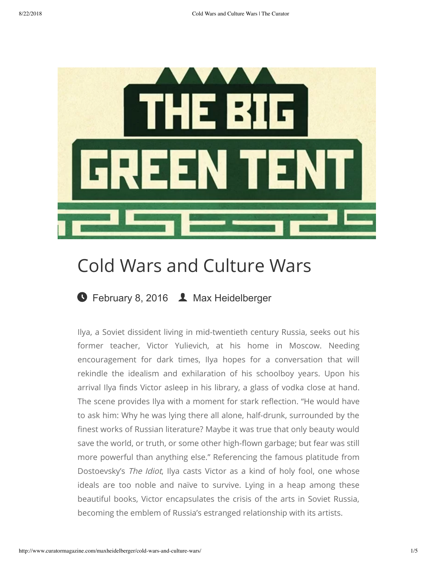

# Cold Wars and Culture Wars

## **G** [February 8, 2016](http://www.curatormagazine.com/maxheidelberger/cold-wars-and-culture-wars/) **L** [Max Heidelberger](http://www.curatormagazine.com/author/maxheidelberger/)

Ilya, a Soviet dissident living in mid-twentieth century Russia, seeks out his former teacher, Victor Yulievich, at his home in Moscow. Needing encouragement for dark times, Ilya hopes for a conversation that will rekindle the idealism and exhilaration of his schoolboy years. Upon his arrival Ilya finds Victor asleep in his library, a glass of vodka close at hand. The scene provides Ilya with a moment for stark reflection. "He would have to ask him: Why he was lying there all alone, half-drunk, surrounded by the finest works of Russian literature? Maybe it was true that only beauty would save the world, or truth, or some other high-flown garbage; but fear was still more powerful than anything else." Referencing the famous platitude from Dostoevsky's The Idiot, Ilya casts Victor as a kind of holy fool, one whose ideals are too noble and naïve to survive. Lying in a heap among these beautiful books, Victor encapsulates the crisis of the arts in Soviet Russia, becoming the emblem of Russia's estranged relationship with its artists.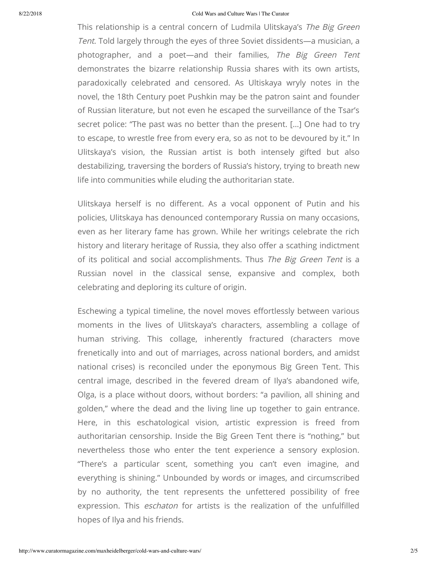#### 8/22/2018 Cold Wars and Culture Wars | The Curator

This relationship is a central concern of Ludmila Ulitskaya's The Big Green Tent. Told largely through the eyes of three Soviet dissidents—a musician, a photographer, and a poet—and their families, The Big Green Tent demonstrates the bizarre relationship Russia shares with its own artists, paradoxically celebrated and censored. As Ultiskaya wryly notes in the novel, the 18th Century poet Pushkin may be the patron saint and founder of Russian literature, but not even he escaped the surveillance of the Tsar's secret police: "The past was no better than the present. […] One had to try to escape, to wrestle free from every era, so as not to be devoured by it." In Ulitskaya's vision, the Russian artist is both intensely gifted but also destabilizing, traversing the borders of Russia's history, trying to breath new life into communities while eluding the authoritarian state.

Ulitskaya herself is no different. As a vocal opponent of Putin and his policies, Ulitskaya has denounced contemporary Russia on many occasions, even as her literary fame has grown. While her writings celebrate the rich history and literary heritage of Russia, they also offer a scathing indictment of its political and social accomplishments. Thus The Big Green Tent is a Russian novel in the classical sense, expansive and complex, both celebrating and deploring its culture of origin.

Eschewing a typical timeline, the novel moves effortlessly between various moments in the lives of Ulitskaya's characters, assembling a collage of human striving. This collage, inherently fractured (characters move frenetically into and out of marriages, across national borders, and amidst national crises) is reconciled under the eponymous Big Green Tent. This central image, described in the fevered dream of Ilya's abandoned wife, Olga, is a place without doors, without borders: "a pavilion, all shining and golden," where the dead and the living line up together to gain entrance. Here, in this eschatological vision, artistic expression is freed from authoritarian censorship. Inside the Big Green Tent there is "nothing," but nevertheless those who enter the tent experience a sensory explosion. "There's a particular scent, something you can't even imagine, and everything is shining." Unbounded by words or images, and circumscribed by no authority, the tent represents the unfettered possibility of free expression. This *eschaton* for artists is the realization of the unfulfilled hopes of Ilya and his friends.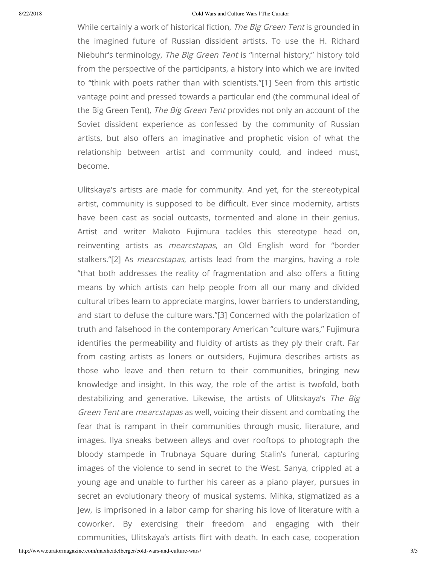#### 8/22/2018 Cold Wars and Culture Wars | The Curator

While certainly a work of historical fiction, The Big Green Tent is grounded in the imagined future of Russian dissident artists. To use the H. Richard Niebuhr's terminology, The Big Green Tent is "internal history;" history told from the perspective of the participants, a history into which we are invited to "think with poets rather than with scientists."[1] Seen from this artistic vantage point and pressed towards a particular end (the communal ideal of the Big Green Tent), The Big Green Tent provides not only an account of the Soviet dissident experience as confessed by the community of Russian artists, but also offers an imaginative and prophetic vision of what the relationship between artist and community could, and indeed must, become.

Ulitskaya's artists are made for community. And yet, for the stereotypical artist, community is supposed to be difficult. Ever since modernity, artists have been cast as social outcasts, tormented and alone in their genius. Artist and writer Makoto Fujimura tackles this stereotype head on, reinventing artists as mearcstapas, an Old English word for "border stalkers."[2] As *mearcstapas*, artists lead from the margins, having a role "that both addresses the reality of fragmentation and also offers a fitting means by which artists can help people from all our many and divided cultural tribes learn to appreciate margins, lower barriers to understanding, and start to defuse the culture wars."[3] Concerned with the polarization of truth and falsehood in the contemporary American "culture wars," Fujimura identifies the permeability and fluidity of artists as they ply their craft. Far from casting artists as loners or outsiders, Fujimura describes artists as those who leave and then return to their communities, bringing new knowledge and insight. In this way, the role of the artist is twofold, both destabilizing and generative. Likewise, the artists of Ulitskaya's The Big Green Tent are mearcstapas as well, voicing their dissent and combating the fear that is rampant in their communities through music, literature, and images. Ilya sneaks between alleys and over rooftops to photograph the bloody stampede in Trubnaya Square during Stalin's funeral, capturing images of the violence to send in secret to the West. Sanya, crippled at a young age and unable to further his career as a piano player, pursues in secret an evolutionary theory of musical systems. Mihka, stigmatized as a Jew, is imprisoned in a labor camp for sharing his love of literature with a coworker. By exercising their freedom and engaging with their communities, Ulitskaya's artists flirt with death. In each case, cooperation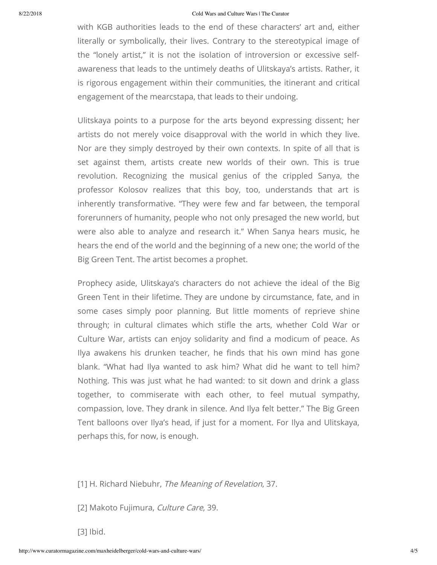### 8/22/2018 Cold Wars and Culture Wars | The Curator

with KGB authorities leads to the end of these characters' art and, either literally or symbolically, their lives. Contrary to the stereotypical image of the "lonely artist," it is not the isolation of introversion or excessive selfawareness that leads to the untimely deaths of Ulitskaya's artists. Rather, it is rigorous engagement within their communities, the itinerant and critical engagement of the mearcstapa, that leads to their undoing.

Ulitskaya points to a purpose for the arts beyond expressing dissent; her artists do not merely voice disapproval with the world in which they live. Nor are they simply destroyed by their own contexts. In spite of all that is set against them, artists create new worlds of their own. This is true revolution. Recognizing the musical genius of the crippled Sanya, the professor Kolosov realizes that this boy, too, understands that art is inherently transformative. "They were few and far between, the temporal forerunners of humanity, people who not only presaged the new world, but were also able to analyze and research it." When Sanya hears music, he hears the end of the world and the beginning of a new one; the world of the Big Green Tent. The artist becomes a prophet.

Prophecy aside, Ulitskaya's characters do not achieve the ideal of the Big Green Tent in their lifetime. They are undone by circumstance, fate, and in some cases simply poor planning. But little moments of reprieve shine through; in cultural climates which stifle the arts, whether Cold War or Culture War, artists can enjoy solidarity and find a modicum of peace. As Ilya awakens his drunken teacher, he finds that his own mind has gone blank. "What had Ilya wanted to ask him? What did he want to tell him? Nothing. This was just what he had wanted: to sit down and drink a glass together, to commiserate with each other, to feel mutual sympathy, compassion, love. They drank in silence. And Ilya felt better." The Big Green Tent balloons over Ilya's head, if just for a moment. For Ilya and Ulitskaya, perhaps this, for now, is enough.

[1] H. Richard Niebuhr, The Meaning of Revelation, 37.

[2] Makoto Fujimura, Culture Care, 39.

[3] Ibid.